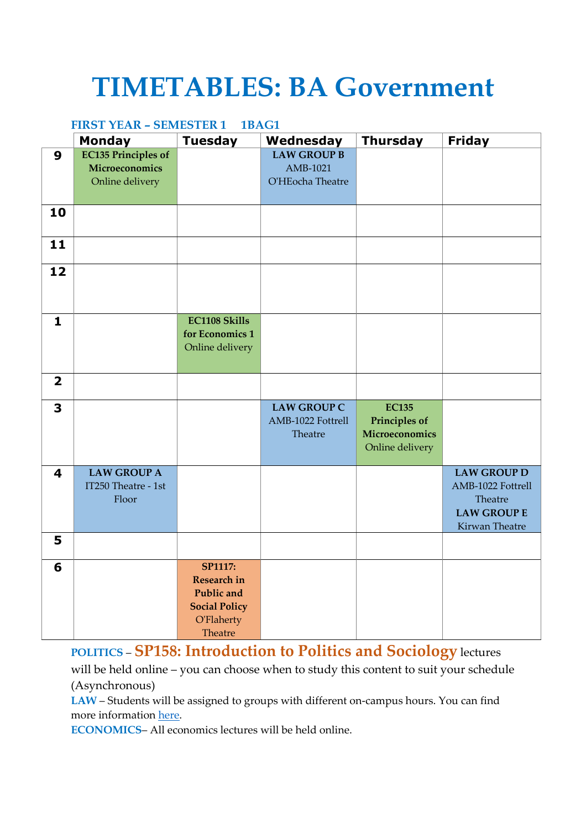## **TIMETABLES: BA Government**

## **FIRST YEAR – SEMESTER 1 1BAG1**

|                         | <b>Monday</b>                                      | <b>Tuesday</b>                                                                                                    | Wednesday                                          | <b>Thursday</b>                                                           | <b>Friday</b>                                                                              |
|-------------------------|----------------------------------------------------|-------------------------------------------------------------------------------------------------------------------|----------------------------------------------------|---------------------------------------------------------------------------|--------------------------------------------------------------------------------------------|
| $\boldsymbol{9}$        | <b>EC135 Principles of</b><br>Microeconomics       |                                                                                                                   | <b>LAW GROUP B</b><br>AMB-1021                     |                                                                           |                                                                                            |
|                         | Online delivery                                    |                                                                                                                   | O'HEocha Theatre                                   |                                                                           |                                                                                            |
|                         |                                                    |                                                                                                                   |                                                    |                                                                           |                                                                                            |
| 10                      |                                                    |                                                                                                                   |                                                    |                                                                           |                                                                                            |
| 11                      |                                                    |                                                                                                                   |                                                    |                                                                           |                                                                                            |
| 12                      |                                                    |                                                                                                                   |                                                    |                                                                           |                                                                                            |
| $\mathbf{1}$            |                                                    | <b>EC1108 Skills</b><br>for Economics 1<br>Online delivery                                                        |                                                    |                                                                           |                                                                                            |
| $\overline{\mathbf{2}}$ |                                                    |                                                                                                                   |                                                    |                                                                           |                                                                                            |
| 3                       |                                                    |                                                                                                                   | <b>LAW GROUP C</b><br>AMB-1022 Fottrell<br>Theatre | <b>EC135</b><br><b>Principles of</b><br>Microeconomics<br>Online delivery |                                                                                            |
| $\overline{\mathbf{4}}$ | <b>LAW GROUP A</b><br>IT250 Theatre - 1st<br>Floor |                                                                                                                   |                                                    |                                                                           | <b>LAW GROUP D</b><br>AMB-1022 Fottrell<br>Theatre<br><b>LAW GROUP E</b><br>Kirwan Theatre |
| 5                       |                                                    |                                                                                                                   |                                                    |                                                                           |                                                                                            |
| 6                       |                                                    | <b>SP1117:</b><br><b>Research in</b><br><b>Public</b> and<br><b>Social Policy</b><br><b>O'Flaherty</b><br>Theatre |                                                    |                                                                           |                                                                                            |

**POLITICS** – **SP158: Introduction to Politics and Sociology** lectures

will be held online – you can choose when to study this content to suit your schedule (Asynchronous)

**LAW** – Students will be assigned to groups with different on-campus hours. You can find more information here.

**ECONOMICS**– All economics lectures will be held online.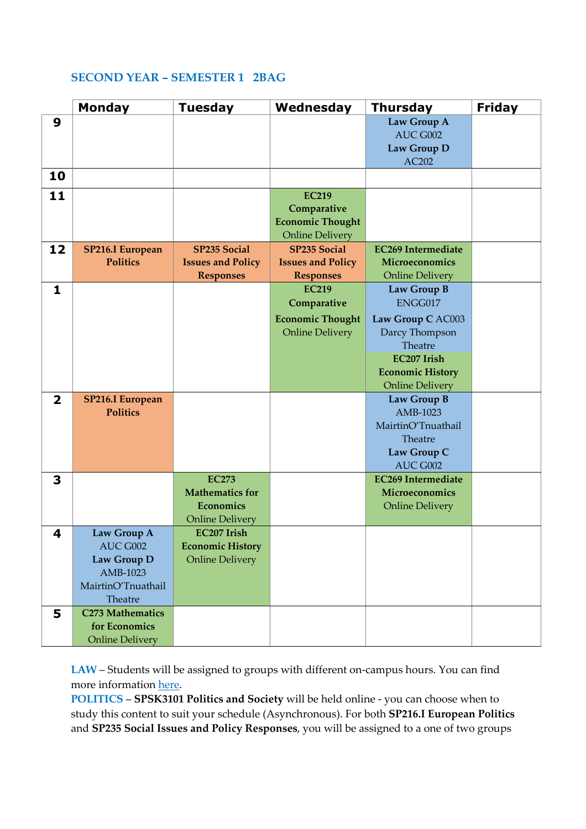## **SECOND YEAR – SEMESTER 1 2BAG**

|                         | <b>Monday</b>           | <b>Tuesday</b>           | Wednesday                | <b>Thursday</b>           | <b>Friday</b> |
|-------------------------|-------------------------|--------------------------|--------------------------|---------------------------|---------------|
| 9                       |                         |                          |                          | Law Group A               |               |
|                         |                         |                          |                          | AUC G002                  |               |
|                         |                         |                          |                          | Law Group D               |               |
|                         |                         |                          |                          | AC202                     |               |
| 10                      |                         |                          |                          |                           |               |
| 11                      |                         |                          | <b>EC219</b>             |                           |               |
|                         |                         |                          | Comparative              |                           |               |
|                         |                         |                          | <b>Economic Thought</b>  |                           |               |
|                         |                         |                          | <b>Online Delivery</b>   |                           |               |
| 12                      | <b>SP216.I European</b> | <b>SP235 Social</b>      | <b>SP235 Social</b>      | <b>EC269 Intermediate</b> |               |
|                         | <b>Politics</b>         | <b>Issues and Policy</b> | <b>Issues and Policy</b> | Microeconomics            |               |
|                         |                         | <b>Responses</b>         | <b>Responses</b>         | <b>Online Delivery</b>    |               |
| $\mathbf{1}$            |                         |                          | <b>EC219</b>             | Law Group B               |               |
|                         |                         |                          | Comparative              | ENGG017                   |               |
|                         |                         |                          | <b>Economic Thought</b>  | Law Group C AC003         |               |
|                         |                         |                          | <b>Online Delivery</b>   | Darcy Thompson            |               |
|                         |                         |                          |                          | Theatre                   |               |
|                         |                         |                          |                          | <b>EC207 Irish</b>        |               |
|                         |                         |                          |                          | <b>Economic History</b>   |               |
|                         |                         |                          |                          | <b>Online Delivery</b>    |               |
| $\overline{\mathbf{2}}$ | <b>SP216.I European</b> |                          |                          | Law Group B               |               |
|                         | <b>Politics</b>         |                          |                          | AMB-1023                  |               |
|                         |                         |                          |                          | MairtinO'Tnuathail        |               |
|                         |                         |                          |                          | Theatre                   |               |
|                         |                         |                          |                          | Law Group C               |               |
|                         |                         |                          |                          | AUC G002                  |               |
| 3                       |                         | <b>EC273</b>             |                          | <b>EC269 Intermediate</b> |               |
|                         |                         | <b>Mathematics for</b>   |                          | Microeconomics            |               |
|                         |                         | <b>Economics</b>         |                          | <b>Online Delivery</b>    |               |
|                         |                         | <b>Online Delivery</b>   |                          |                           |               |
| 4                       | Law Group A             | <b>EC207 Irish</b>       |                          |                           |               |
|                         | AUC G002                | <b>Economic History</b>  |                          |                           |               |
|                         | Law Group D             | <b>Online Delivery</b>   |                          |                           |               |
|                         | AMB-1023                |                          |                          |                           |               |
|                         | MairtinO'Tnuathail      |                          |                          |                           |               |
|                         | Theatre                 |                          |                          |                           |               |
| 5                       | <b>C273 Mathematics</b> |                          |                          |                           |               |
|                         | for Economics           |                          |                          |                           |               |
|                         | <b>Online Delivery</b>  |                          |                          |                           |               |

**LAW** – Students will be assigned to groups with different on-campus hours. You can find more information here.

**POLITICS** – **SPSK3101 Politics and Society** will be held online - you can choose when to study this content to suit your schedule (Asynchronous). For both **SP216.I European Politics** and **SP235 Social Issues and Policy Responses**, you will be assigned to a one of two groups